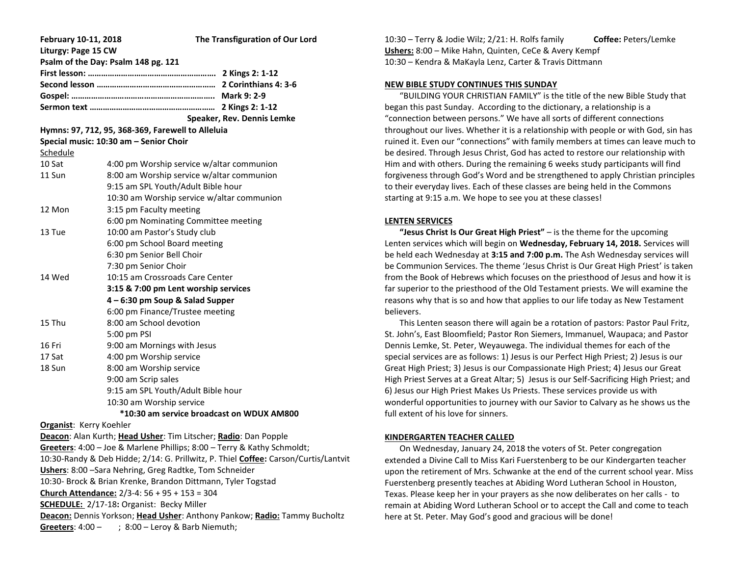| February 10-11, 2018                                                                                                   | The Transfiguration of Our Lord            |
|------------------------------------------------------------------------------------------------------------------------|--------------------------------------------|
| Liturgy: Page 15 CW                                                                                                    |                                            |
| Psalm of the Day: Psalm 148 pg. 121                                                                                    |                                            |
|                                                                                                                        |                                            |
|                                                                                                                        |                                            |
|                                                                                                                        |                                            |
|                                                                                                                        | Speaker, Rev. Dennis Lemke                 |
| Hymns: 97, 712, 95, 368-369, Farewell to Alleluia                                                                      |                                            |
| Special music: 10:30 am - Senior Choir                                                                                 |                                            |
| Schedule                                                                                                               |                                            |
| 10 Sat                                                                                                                 | 4:00 pm Worship service w/altar communion  |
| 11 Sun                                                                                                                 | 8:00 am Worship service w/altar communion  |
|                                                                                                                        | 9:15 am SPL Youth/Adult Bible hour         |
|                                                                                                                        | 10:30 am Worship service w/altar communion |
| 12 Mon                                                                                                                 | 3:15 pm Faculty meeting                    |
|                                                                                                                        | 6:00 pm Nominating Committee meeting       |
| 13 Tue                                                                                                                 | 10:00 am Pastor's Study club               |
|                                                                                                                        | 6:00 pm School Board meeting               |
|                                                                                                                        | 6:30 pm Senior Bell Choir                  |
|                                                                                                                        | 7:30 pm Senior Choir                       |
| 14 Wed                                                                                                                 | 10:15 am Crossroads Care Center            |
|                                                                                                                        | 3:15 & 7:00 pm Lent worship services       |
|                                                                                                                        | 4 - 6:30 pm Soup & Salad Supper            |
|                                                                                                                        | 6:00 pm Finance/Trustee meeting            |
| 15 Thu                                                                                                                 | 8:00 am School devotion                    |
|                                                                                                                        | 5:00 pm PSI                                |
| 16 Fri                                                                                                                 | 9:00 am Mornings with Jesus                |
| 17 Sat                                                                                                                 | 4:00 pm Worship service                    |
| 18 Sun                                                                                                                 | 8:00 am Worship service                    |
|                                                                                                                        | 9:00 am Scrip sales                        |
|                                                                                                                        | 9:15 am SPL Youth/Adult Bible hour         |
|                                                                                                                        | 10:30 am Worship service                   |
| *10:30 am service broadcast on WDUX AM800                                                                              |                                            |
| <b>Organist: Kerry Koehler</b>                                                                                         |                                            |
| Deacon: Alan Kurth; Head Usher: Tim Litscher; Radio: Dan Popple                                                        |                                            |
| Greeters: 4:00 - Joe & Marlene Phillips; 8:00 - Terry & Kathy Schmoldt;                                                |                                            |
| 10:30-Randy & Deb Hidde; 2/14: G. Prillwitz, P. Thiel Coffee: Carson/Curtis/Lantvit                                    |                                            |
| Ushers: 8:00 - Sara Nehring, Greg Radtke, Tom Schneider                                                                |                                            |
| 10:30- Brock & Brian Krenke, Brandon Dittmann, Tyler Togstad                                                           |                                            |
| Church Attendance: 2/3-4: 56 + 95 + 153 = 304                                                                          |                                            |
| SCHEDULE: 2/17-18: Organist: Becky Miller<br>Deacon: Dennis Yorkson; Head Usher: Anthony Pankow; Radio: Tammy Bucholtz |                                            |
| Greeters: $4:00 -$<br>; 8:00 – Leroy & Barb Niemuth;                                                                   |                                            |
|                                                                                                                        |                                            |

10:30 – Terry & Jodie Wilz; 2/21: H. Rolfs family **Coffee:** Peters/Lemke **Ushers:** 8:00 – Mike Hahn, Quinten, CeCe & Avery Kempf 10:30 – Kendra & MaKayla Lenz, Carter & Travis Dittmann

### **NEW BIBLE STUDY CONTINUES THIS SUNDAY**

 "BUILDING YOUR CHRISTIAN FAMILY" is the title of the new Bible Study that began this past Sunday. According to the dictionary, a relationship is a "connection between persons." We have all sorts of different connections throughout our lives. Whether it is a relationship with people or with God, sin has ruined it. Even our "connections" with family members at times can leave much to be desired. Through Jesus Christ, God has acted to restore our relationship with Him and with others. During the remaining 6 weeks study participants will find forgiveness through God's Word and be strengthened to apply Christian principles to their everyday lives. Each of these classes are being held in the Commons starting at 9:15 a.m. We hope to see you at these classes!

#### **LENTEN SERVICES**

 **"Jesus Christ Is Our Great High Priest"** – is the theme for the upcoming Lenten services which will begin on **Wednesday, February 14, 2018.** Services will be held each Wednesday at **3:15 and 7:00 p.m.** The Ash Wednesday services will be Communion Services. The theme 'Jesus Christ is Our Great High Priest' is taken from the Book of Hebrews which focuses on the priesthood of Jesus and how it is far superior to the priesthood of the Old Testament priests. We will examine the reasons why that is so and how that applies to our life today as New Testament believers.

 This Lenten season there will again be a rotation of pastors: Pastor Paul Fritz, St. John's, East Bloomfield; Pastor Ron Siemers, Immanuel, Waupaca; and Pastor Dennis Lemke, St. Peter, Weyauwega. The individual themes for each of the special services are as follows: 1) Jesus is our Perfect High Priest; 2) Jesus is our Great High Priest; 3) Jesus is our Compassionate High Priest; 4) Jesus our Great High Priest Serves at a Great Altar; 5) Jesus is our Self-Sacrificing High Priest; and 6) Jesus our High Priest Makes Us Priests. These services provide us with wonderful opportunities to journey with our Savior to Calvary as he shows us the full extent of his love for sinners.

#### **KINDERGARTEN TEACHER CALLED**

 On Wednesday, January 24, 2018 the voters of St. Peter congregation extended a Divine Call to Miss Kari Fuerstenberg to be our Kindergarten teacher upon the retirement of Mrs. Schwanke at the end of the current school year. Miss Fuerstenberg presently teaches at Abiding Word Lutheran School in Houston, Texas. Please keep her in your prayers as she now deliberates on her calls - to remain at Abiding Word Lutheran School or to accept the Call and come to teach here at St. Peter. May God's good and gracious will be done!